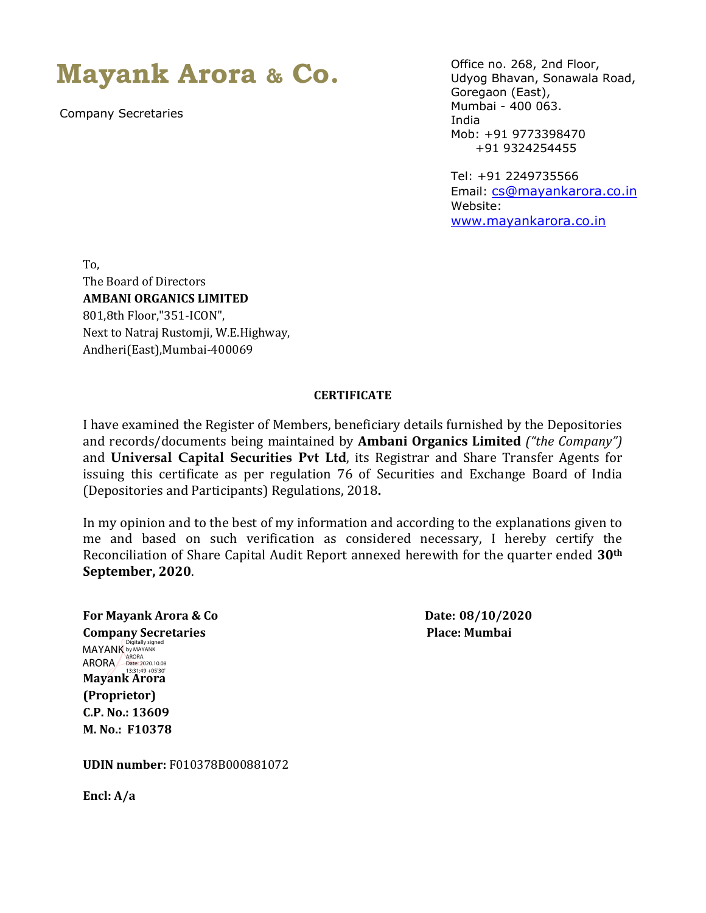## **Mayank Arora & Co.**

Company Secretaries

Office no. 268, 2nd Floor, Udyog Bhavan, Sonawala Road, Goregaon (East), Mumbai - 400 063. India Mob: +91 9773398470 +91 9324254455

Tel: +91 2249735566 Email: [cs@mayankarora.co.in](mailto:cs@mayankarora.co.in) Website: [www.mayankarora.co.in](http://www.mayankarora.co.in/)

To, The Board of Directors **AMBANI ORGANICS LIMITED** 801,8th Floor,"351-ICON", Next to Natraj Rustomji, W.E.Highway, Andheri(East),Mumbai-400069

## **CERTIFICATE**

I have examined the Register of Members, beneficiary details furnished by the Depositories and records/documents being maintained by **Ambani Organics Limited** *("the Company")*  and **Universal Capital Securities Pvt Ltd**, its Registrar and Share Transfer Agents for issuing this certificate as per regulation 76 of Securities and Exchange Board of India (Depositories and Participants) Regulations, 2018**.**

In my opinion and to the best of my information and according to the explanations given to me and based on such verification as considered necessary, I hereby certify the Reconciliation of Share Capital Audit Report annexed herewith for the quarter ended **30th September, 2020**.

**For Mayank Arora & Co Date: 08/10/2020 Company Secretaries Place: Mumbai MAYANK** by MAYANK **Mayank Arora**  13:31:49 +05'30'**(Proprietor) C.P. No.: 13609 M. No.: F10378** ARORA ARORA Date: 2020.10.08

**UDIN number:** F010378B000881072

**Encl: A/a**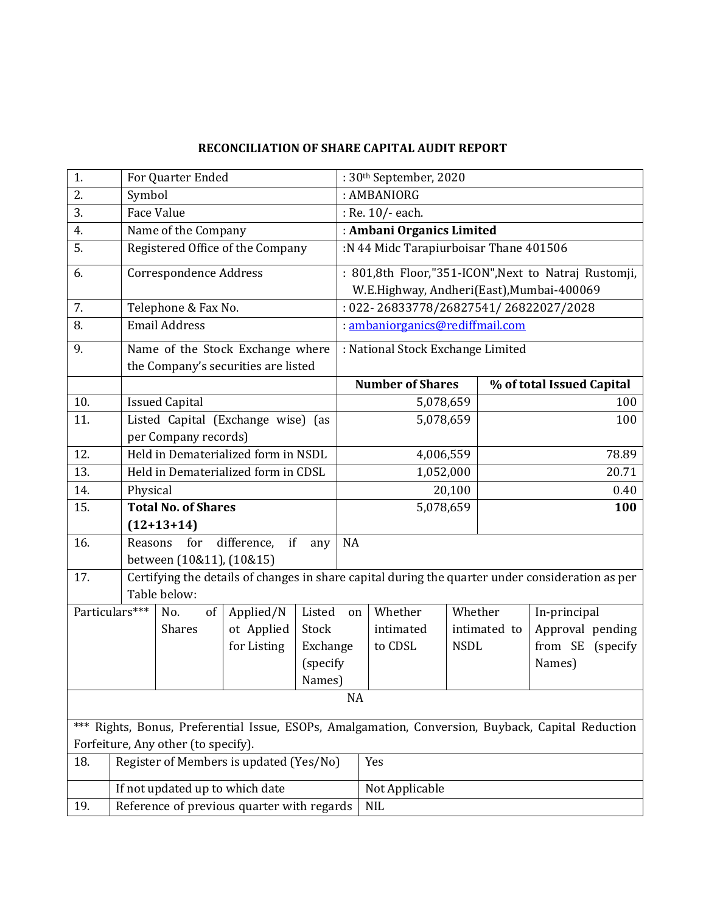## **RECONCILIATION OF SHARE CAPITAL AUDIT REPORT**

| 1.                                                                                                 |                                 | For Quarter Ended                          |                                         |            |                                                      | : 30th September, 2020                                                                           |             |                           |                  |  |  |
|----------------------------------------------------------------------------------------------------|---------------------------------|--------------------------------------------|-----------------------------------------|------------|------------------------------------------------------|--------------------------------------------------------------------------------------------------|-------------|---------------------------|------------------|--|--|
| 2.                                                                                                 |                                 | Symbol                                     |                                         |            |                                                      | : AMBANIORG                                                                                      |             |                           |                  |  |  |
| 3.                                                                                                 |                                 | <b>Face Value</b>                          |                                         |            |                                                      | : Re. 10/- each.                                                                                 |             |                           |                  |  |  |
| 4.                                                                                                 |                                 | Name of the Company                        |                                         |            |                                                      | : Ambani Organics Limited                                                                        |             |                           |                  |  |  |
| 5.                                                                                                 |                                 | Registered Office of the Company           | :N 44 Midc Tarapiurboisar Thane 401506  |            |                                                      |                                                                                                  |             |                           |                  |  |  |
| 6.                                                                                                 | Correspondence Address          |                                            |                                         |            | : 801,8th Floor,"351-ICON", Next to Natraj Rustomji, |                                                                                                  |             |                           |                  |  |  |
|                                                                                                    |                                 |                                            |                                         |            |                                                      | W.E.Highway, Andheri(East), Mumbai-400069                                                        |             |                           |                  |  |  |
| 7.                                                                                                 |                                 | Telephone & Fax No.                        | : 022-26833778/26827541/26822027/2028   |            |                                                      |                                                                                                  |             |                           |                  |  |  |
| 8.                                                                                                 |                                 | <b>Email Address</b>                       | : ambaniorganics@rediffmail.com         |            |                                                      |                                                                                                  |             |                           |                  |  |  |
| 9.                                                                                                 |                                 | Name of the Stock Exchange where           | : National Stock Exchange Limited       |            |                                                      |                                                                                                  |             |                           |                  |  |  |
|                                                                                                    |                                 |                                            | the Company's securities are listed     |            |                                                      |                                                                                                  |             |                           |                  |  |  |
|                                                                                                    |                                 |                                            |                                         |            |                                                      | <b>Number of Shares</b>                                                                          |             | % of total Issued Capital |                  |  |  |
| 10.                                                                                                |                                 | <b>Issued Capital</b>                      |                                         |            |                                                      | 5,078,659                                                                                        | 100         |                           |                  |  |  |
| 11.                                                                                                |                                 | Listed Capital (Exchange wise) (as         |                                         |            |                                                      | 5,078,659                                                                                        |             |                           | 100              |  |  |
|                                                                                                    |                                 | per Company records)                       |                                         |            |                                                      |                                                                                                  |             |                           |                  |  |  |
| 12.                                                                                                |                                 | Held in Dematerialized form in NSDL        |                                         |            |                                                      | 4,006,559                                                                                        |             |                           | 78.89            |  |  |
| 13.                                                                                                |                                 |                                            | Held in Dematerialized form in CDSL     |            | 1,052,000                                            |                                                                                                  |             |                           | 20.71            |  |  |
| 14.                                                                                                | Physical                        |                                            |                                         | 20,100     |                                                      |                                                                                                  |             | 0.40                      |                  |  |  |
| 15.                                                                                                |                                 | <b>Total No. of Shares</b>                 |                                         |            |                                                      | 5,078,659                                                                                        |             |                           | 100              |  |  |
|                                                                                                    |                                 | $(12+13+14)$                               |                                         |            |                                                      |                                                                                                  |             |                           |                  |  |  |
| 16.                                                                                                | Reasons                         | for<br>difference,                         | <b>NA</b>                               |            |                                                      |                                                                                                  |             |                           |                  |  |  |
|                                                                                                    |                                 | between (10&11), (10&15)                   |                                         |            |                                                      |                                                                                                  |             |                           |                  |  |  |
| 17.                                                                                                |                                 |                                            |                                         |            |                                                      | Certifying the details of changes in share capital during the quarter under consideration as per |             |                           |                  |  |  |
|                                                                                                    | Table below:                    |                                            |                                         |            |                                                      |                                                                                                  |             |                           |                  |  |  |
|                                                                                                    | Particulars***                  | No.<br>of                                  | Applied/N                               | Listed     | on                                                   | Whether                                                                                          | Whether     |                           | In-principal     |  |  |
|                                                                                                    |                                 | <b>Shares</b>                              | ot Applied                              | Stock      |                                                      | intimated                                                                                        |             | intimated to              | Approval pending |  |  |
|                                                                                                    |                                 |                                            | for Listing                             | Exchange   |                                                      | to CDSL                                                                                          | <b>NSDL</b> |                           | from SE (specify |  |  |
|                                                                                                    |                                 |                                            |                                         | (specify   |                                                      |                                                                                                  |             |                           | Names)           |  |  |
|                                                                                                    |                                 |                                            |                                         | Names)     |                                                      |                                                                                                  |             |                           |                  |  |  |
| <b>NA</b>                                                                                          |                                 |                                            |                                         |            |                                                      |                                                                                                  |             |                           |                  |  |  |
| *** Rights, Bonus, Preferential Issue, ESOPs, Amalgamation, Conversion, Buyback, Capital Reduction |                                 |                                            |                                         |            |                                                      |                                                                                                  |             |                           |                  |  |  |
| Forfeiture, Any other (to specify).                                                                |                                 |                                            |                                         |            |                                                      |                                                                                                  |             |                           |                  |  |  |
| 18.                                                                                                |                                 |                                            | Register of Members is updated (Yes/No) |            |                                                      | Yes                                                                                              |             |                           |                  |  |  |
|                                                                                                    | If not updated up to which date |                                            |                                         |            |                                                      | Not Applicable                                                                                   |             |                           |                  |  |  |
| 19.                                                                                                |                                 | Reference of previous quarter with regards |                                         | <b>NIL</b> |                                                      |                                                                                                  |             |                           |                  |  |  |